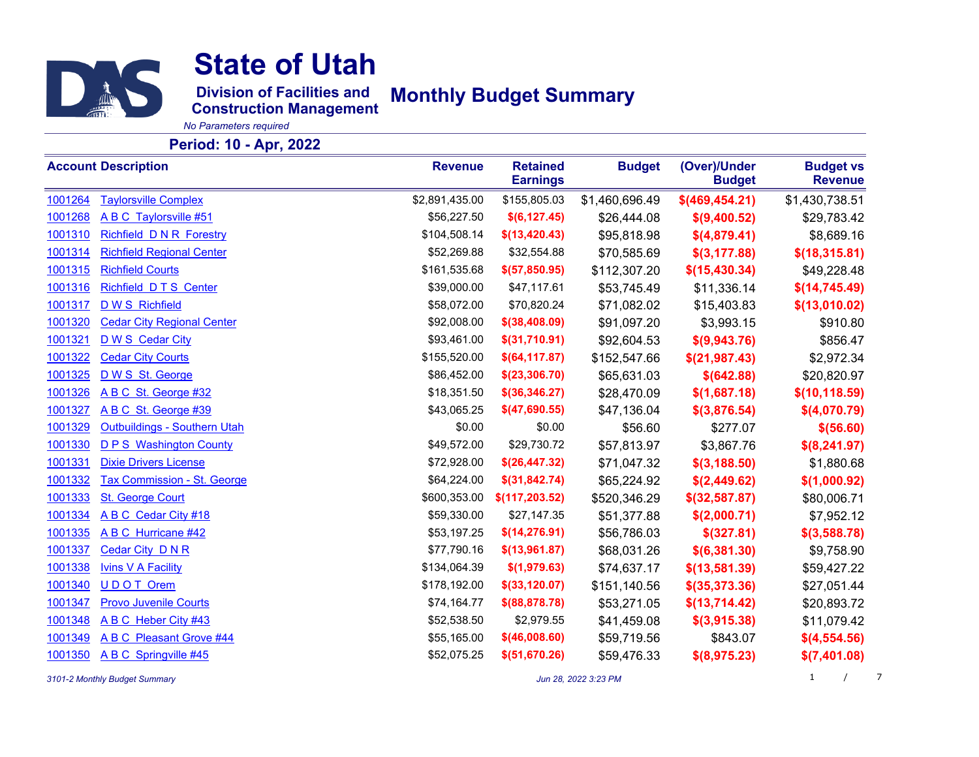

**Division of Facilities and Monthly Budget Summary**

**Construction Management**

*No Parameters required*

### **Period: 10 - Apr, 2022**

|         | <b>Account Description</b>          | <b>Revenue</b> | <b>Retained</b><br><b>Earnings</b> | <b>Budget</b>  | (Over)/Under<br><b>Budget</b> | <b>Budget vs</b><br><b>Revenue</b> |
|---------|-------------------------------------|----------------|------------------------------------|----------------|-------------------------------|------------------------------------|
| 1001264 | <b>Taylorsville Complex</b>         | \$2,891,435.00 | \$155,805.03                       | \$1,460,696.49 | \$(469, 454.21)               | \$1,430,738.51                     |
| 1001268 | A B C Taylorsville #51              | \$56,227.50    | \$(6,127.45)                       | \$26,444.08    | \$(9,400.52)                  | \$29,783.42                        |
| 1001310 | <b>Richfield DNR Forestry</b>       | \$104,508.14   | \$(13, 420.43)                     | \$95,818.98    | \$(4,879.41)                  | \$8,689.16                         |
| 1001314 | <b>Richfield Regional Center</b>    | \$52,269.88    | \$32,554.88                        | \$70,585.69    | \$(3, 177.88)                 | \$(18,315.81)                      |
| 1001315 | <b>Richfield Courts</b>             | \$161,535.68   | \$(57, 850.95)                     | \$112,307.20   | \$(15, 430.34)                | \$49,228.48                        |
| 1001316 | Richfield DTS Center                | \$39,000.00    | \$47,117.61                        | \$53,745.49    | \$11,336.14                   | \$(14, 745.49)                     |
| 1001317 | D W S Richfield                     | \$58,072.00    | \$70,820.24                        | \$71,082.02    | \$15,403.83                   | \$(13,010.02)                      |
| 1001320 | <b>Cedar City Regional Center</b>   | \$92,008.00    | $$$ (38,408.09)                    | \$91,097.20    | \$3,993.15                    | \$910.80                           |
| 1001321 | D W S Cedar City                    | \$93,461.00    | \$(31,710.91)                      | \$92,604.53    | \$(9,943.76)                  | \$856.47                           |
| 1001322 | <b>Cedar City Courts</b>            | \$155,520.00   | \$(64, 117.87)                     | \$152,547.66   | \$(21, 987.43)                | \$2,972.34                         |
| 1001325 | D W S St. George                    | \$86,452.00    | \$(23, 306.70)                     | \$65,631.03    | \$(642.88)                    | \$20,820.97                        |
| 1001326 | A B C St. George #32                | \$18,351.50    | $$$ (36,346.27)                    | \$28,470.09    | \$(1,687.18)                  | \$(10, 118.59)                     |
| 1001327 | A B C St. George #39                | \$43,065.25    | \$(47,690.55)                      | \$47,136.04    | \$(3,876.54)                  | \$(4,070.79)                       |
| 1001329 | <b>Outbuildings - Southern Utah</b> | \$0.00         | \$0.00                             | \$56.60        | \$277.07                      | \$ (56.60)                         |
| 1001330 | <b>D P S</b> Washington County      | \$49,572.00    | \$29,730.72                        | \$57,813.97    | \$3,867.76                    | \$(8,241.97)                       |
| 1001331 | <b>Dixie Drivers License</b>        | \$72,928.00    | \$(26, 447.32)                     | \$71,047.32    | \$(3, 188.50)                 | \$1,880.68                         |
| 1001332 | <b>Tax Commission - St. George</b>  | \$64,224.00    | \$(31, 842.74)                     | \$65,224.92    | \$(2,449.62)                  | \$(1,000.92)                       |
| 1001333 | <b>St. George Court</b>             | \$600,353.00   | \$(117,203.52)                     | \$520,346.29   | $$$ (32,587.87)               | \$80,006.71                        |
| 1001334 | A B C Cedar City #18                | \$59,330.00    | \$27,147.35                        | \$51,377.88    | \$(2,000.71)                  | \$7,952.12                         |
| 1001335 | A B C Hurricane #42                 | \$53,197.25    | \$(14, 276.91)                     | \$56,786.03    | \$ (327.81)                   | $$$ (3,588.78)                     |
| 1001337 | Cedar City DNR                      | \$77,790.16    | \$(13,961.87)                      | \$68,031.26    | \$(6,381.30)                  | \$9,758.90                         |
| 1001338 | <b>Ivins V A Facility</b>           | \$134,064.39   | \$(1,979.63)                       | \$74,637.17    | \$(13,581.39)                 | \$59,427.22                        |
| 1001340 | UDOT Orem                           | \$178,192.00   | $$$ (33,120.07)                    | \$151,140.56   | $$$ (35,373.36)               | \$27,051.44                        |
| 1001347 | <b>Provo Juvenile Courts</b>        | \$74,164.77    | $$$ (88,878.78)                    | \$53,271.05    | \$(13,714.42)                 | \$20,893.72                        |
| 1001348 | A B C Heber City #43                | \$52,538.50    | \$2,979.55                         | \$41,459.08    | \$(3,915.38)                  | \$11,079.42                        |
| 1001349 | <b>ABC</b> Pleasant Grove #44       | \$55,165.00    | $$$ (46,008.60)                    | \$59,719.56    | \$843.07                      | \$(4,554.56)                       |
| 1001350 | A B C Springville #45               | \$52,075.25    | \$(51,670.26)                      | \$59,476.33    | \$ (8,975.23)                 | \$(7,401.08)                       |

*3101-2 Monthly Budget Summary Jun 28, 2022 3:23 PM* 1 /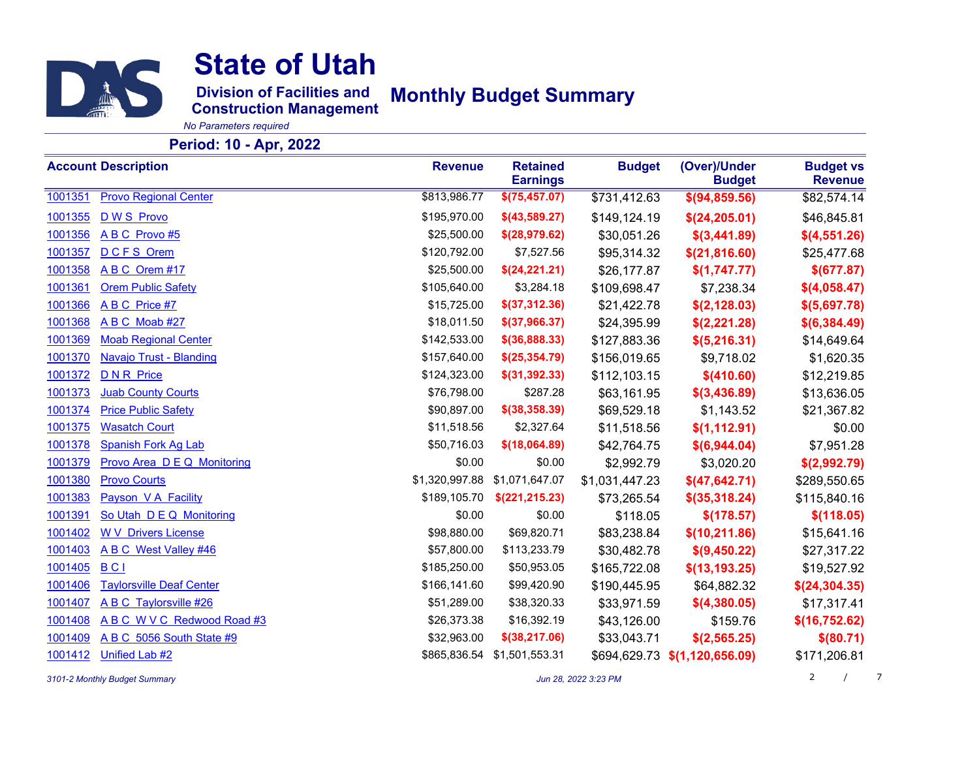

**Division of Facilities and Monthly Budget Summary**

**Construction Management**

*No Parameters required*

### **Period: 10 - Apr, 2022**

|         | <b>Account Description</b>         | <b>Revenue</b> | <b>Retained</b><br><b>Earnings</b> | <b>Budget</b>  | (Over)/Under<br><b>Budget</b> | <b>Budget vs</b><br><b>Revenue</b> |
|---------|------------------------------------|----------------|------------------------------------|----------------|-------------------------------|------------------------------------|
| 1001351 | <b>Provo Regional Center</b>       | \$813,986.77   | \$(75, 457.07)                     | \$731,412.63   | \$(94, 859.56)                | \$82,574.14                        |
| 1001355 | D W S Provo                        | \$195,970.00   | $$$ (43,589.27)                    | \$149,124.19   | \$(24, 205.01)                | \$46,845.81                        |
| 1001356 | ABC Provo#5                        | \$25,500.00    | \$(28, 979.62)                     | \$30,051.26    | \$(3,441.89)                  | \$(4,551.26)                       |
| 1001357 | <b>DCFS Orem</b>                   | \$120,792.00   | \$7,527.56                         | \$95,314.32    | \$(21, 816.60)                | \$25,477.68                        |
| 1001358 | ABC Orem #17                       | \$25,500.00    | \$(24,221.21)                      | \$26,177.87    | \$(1,747.77)                  | \$(677.87)                         |
| 1001361 | <b>Orem Public Safety</b>          | \$105,640.00   | \$3,284.18                         | \$109,698.47   | \$7,238.34                    | \$(4,058.47)                       |
| 1001366 | A B C Price #7                     | \$15,725.00    | \$(37,312.36)                      | \$21,422.78    | \$(2, 128.03)                 | \$(5,697.78)                       |
| 1001368 | ABC Moab #27                       | \$18,011.50    | \$(37,966.37)                      | \$24,395.99    | \$(2,221.28)                  | \$(6,384.49)                       |
| 1001369 | <b>Moab Regional Center</b>        | \$142,533.00   | $$$ (36,888.33)                    | \$127,883.36   | \$(5,216.31)                  | \$14,649.64                        |
| 1001370 | Navajo Trust - Blanding            | \$157,640.00   | \$(25,354.79)                      | \$156,019.65   | \$9,718.02                    | \$1,620.35                         |
| 1001372 | <b>DNR</b> Price                   | \$124,323.00   | \$(31, 392.33)                     | \$112,103.15   | \$ (410.60)                   | \$12,219.85                        |
| 1001373 | <b>Juab County Courts</b>          | \$76,798.00    | \$287.28                           | \$63,161.95    | \$(3,436.89)                  | \$13,636.05                        |
| 1001374 | <b>Price Public Safety</b>         | \$90,897.00    | $$$ (38,358.39)                    | \$69,529.18    | \$1,143.52                    | \$21,367.82                        |
| 1001375 | <b>Wasatch Court</b>               | \$11,518.56    | \$2,327.64                         | \$11,518.56    | \$(1,112.91)                  | \$0.00                             |
| 1001378 | <b>Spanish Fork Ag Lab</b>         | \$50,716.03    | \$(18,064.89)                      | \$42,764.75    | \$(6,944.04)                  | \$7,951.28                         |
| 1001379 | <b>Provo Area D E Q Monitoring</b> | \$0.00         | \$0.00                             | \$2,992.79     | \$3,020.20                    | \$(2,992.79)                       |
| 1001380 | <b>Provo Courts</b>                | \$1,320,997.88 | \$1,071,647.07                     | \$1,031,447.23 | \$(47,642.71)                 | \$289,550.65                       |
| 1001383 | Payson V A Facility                | \$189,105.70   | \$(221, 215.23)                    | \$73,265.54    | $$$ (35,318.24)               | \$115,840.16                       |
| 1001391 | So Utah D E Q Monitoring           | \$0.00         | \$0.00                             | \$118.05       | \$(178.57)                    | \$(118.05)                         |
| 1001402 | <b>W V Drivers License</b>         | \$98,880.00    | \$69,820.71                        | \$83,238.84    | \$(10, 211.86)                | \$15,641.16                        |
| 1001403 | A B C West Valley #46              | \$57,800.00    | \$113,233.79                       | \$30,482.78    | \$(9,450.22)                  | \$27,317.22                        |
| 1001405 | <b>BCI</b>                         | \$185,250.00   | \$50,953.05                        | \$165,722.08   | \$(13, 193.25)                | \$19,527.92                        |
| 1001406 | <b>Taylorsville Deaf Center</b>    | \$166,141.60   | \$99,420.90                        | \$190,445.95   | \$64,882.32                   | \$(24, 304.35)                     |
| 1001407 | A B C Taylorsville #26             | \$51,289.00    | \$38,320.33                        | \$33,971.59    | \$(4,380.05)                  | \$17,317.41                        |
| 1001408 | ABC WVC Redwood Road #3            | \$26,373.38    | \$16,392.19                        | \$43,126.00    | \$159.76                      | \$(16, 752.62)                     |
| 1001409 | A B C 5056 South State #9          | \$32,963.00    | $$$ (38,217.06)                    | \$33,043.71    | \$(2,565.25)                  | \$ (80.71)                         |
| 1001412 | Unified Lab #2                     |                | \$865,836.54 \$1,501,553.31        | \$694,629.73   | \$(1,120,656.09)              | \$171,206.81                       |

*3101-2 Monthly Budget Summary Jun 28, 2022 3:23 PM* 2 /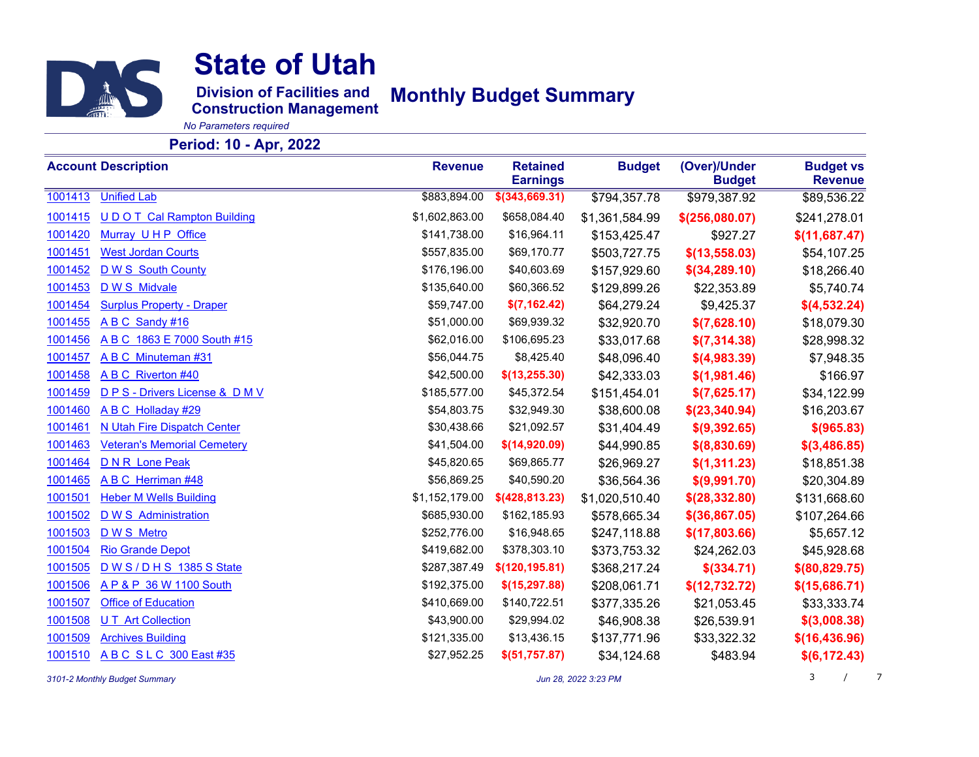

**Division of Facilities and Monthly Budget Summary**

**Construction Management**

*No Parameters required*

### **Period: 10 - Apr, 2022**

|         | <b>Account Description</b>         | <b>Revenue</b> | <b>Retained</b><br><b>Earnings</b> | <b>Budget</b>  | (Over)/Under<br><b>Budget</b> | <b>Budget vs</b><br><b>Revenue</b> |
|---------|------------------------------------|----------------|------------------------------------|----------------|-------------------------------|------------------------------------|
| 1001413 | <b>Unified Lab</b>                 | \$883,894.00   | \$(343,669.31)                     | \$794,357.78   | \$979,387.92                  | \$89,536.22                        |
| 1001415 | <b>UDOT Cal Rampton Building</b>   | \$1,602,863.00 | \$658,084.40                       | \$1,361,584.99 | \$(256,080.07)                | \$241,278.01                       |
| 1001420 | Murray UHP Office                  | \$141,738.00   | \$16,964.11                        | \$153,425.47   | \$927.27                      | \$(11,687.47)                      |
| 1001451 | <b>West Jordan Courts</b>          | \$557,835.00   | \$69,170.77                        | \$503,727.75   | \$(13,558.03)                 | \$54,107.25                        |
| 1001452 | D W S South County                 | \$176,196.00   | \$40,603.69                        | \$157,929.60   | $$$ (34,289.10)               | \$18,266.40                        |
| 1001453 | D W S Midvale                      | \$135,640.00   | \$60,366.52                        | \$129,899.26   | \$22,353.89                   | \$5,740.74                         |
| 1001454 | <b>Surplus Property - Draper</b>   | \$59,747.00    | \$(7,162.42)                       | \$64,279.24    | \$9,425.37                    | \$(4,532.24)                       |
| 1001455 | A B C Sandy #16                    | \$51,000.00    | \$69,939.32                        | \$32,920.70    | \$(7,628.10)                  | \$18,079.30                        |
| 1001456 | A B C 1863 E 7000 South #15        | \$62,016.00    | \$106,695.23                       | \$33,017.68    | \$(7,314.38)                  | \$28,998.32                        |
| 1001457 | ABC Minuteman #31                  | \$56,044.75    | \$8,425.40                         | \$48,096.40    | \$(4,983.39)                  | \$7,948.35                         |
| 1001458 | <b>ABC</b> Riverton #40            | \$42,500.00    | \$(13, 255.30)                     | \$42,333.03    | \$(1,981.46)                  | \$166.97                           |
| 1001459 | D P S - Drivers License & D M V    | \$185,577.00   | \$45,372.54                        | \$151,454.01   | \$(7,625.17)                  | \$34,122.99                        |
| 1001460 | A B C Holladay #29                 | \$54,803.75    | \$32,949.30                        | \$38,600.08    | \$(23,340.94)                 | \$16,203.67                        |
| 1001461 | N Utah Fire Dispatch Center        | \$30,438.66    | \$21,092.57                        | \$31,404.49    | \$(9,392.65)                  | \$ (965.83)                        |
| 1001463 | <b>Veteran's Memorial Cemetery</b> | \$41,504.00    | \$(14,920.09)                      | \$44,990.85    | \$ (8,830.69)                 | \$(3,486.85)                       |
| 1001464 | <b>DNR Lone Peak</b>               | \$45,820.65    | \$69,865.77                        | \$26,969.27    | \$(1,311.23)                  | \$18,851.38                        |
| 1001465 | A B C Herriman #48                 | \$56,869.25    | \$40,590.20                        | \$36,564.36    | \$(9,991.70)                  | \$20,304.89                        |
| 1001501 | <b>Heber M Wells Building</b>      | \$1,152,179.00 | $$$ (428,813.23)                   | \$1,020,510.40 | \$(28, 332.80)                | \$131,668.60                       |
| 1001502 | <b>DWS</b> Administration          | \$685,930.00   | \$162,185.93                       | \$578,665.34   | $$$ (36,867.05)               | \$107,264.66                       |
| 1001503 | D W S Metro                        | \$252,776.00   | \$16,948.65                        | \$247,118.88   | \$(17,803.66)                 | \$5,657.12                         |
| 1001504 | <b>Rio Grande Depot</b>            | \$419,682.00   | \$378,303.10                       | \$373,753.32   | \$24,262.03                   | \$45,928.68                        |
| 1001505 | D W S / D H S 1385 S State         | \$287,387.49   | \$(120, 195.81)                    | \$368,217.24   | $$$ (334.71)                  | \$ (80, 829.75)                    |
| 1001506 | A P & P 36 W 1100 South            | \$192,375.00   | \$(15, 297.88)                     | \$208,061.71   | \$(12, 732.72)                | \$(15,686.71)                      |
| 1001507 | <b>Office of Education</b>         | \$410,669.00   | \$140,722.51                       | \$377,335.26   | \$21,053.45                   | \$33,333.74                        |
| 1001508 | <b>UT</b> Art Collection           | \$43,900.00    | \$29,994.02                        | \$46,908.38    | \$26,539.91                   | \$(3,008.38)                       |
| 1001509 | <b>Archives Building</b>           | \$121,335.00   | \$13,436.15                        | \$137,771.96   | \$33,322.32                   | \$(16, 436.96)                     |
| 1001510 | ABC SLC 300 East #35               | \$27,952.25    | \$(51,757.87)                      | \$34,124.68    | \$483.94                      | \$(6,172.43)                       |

*3101-2 Monthly Budget Summary Jun 28, 2022 3:23 PM* 3 /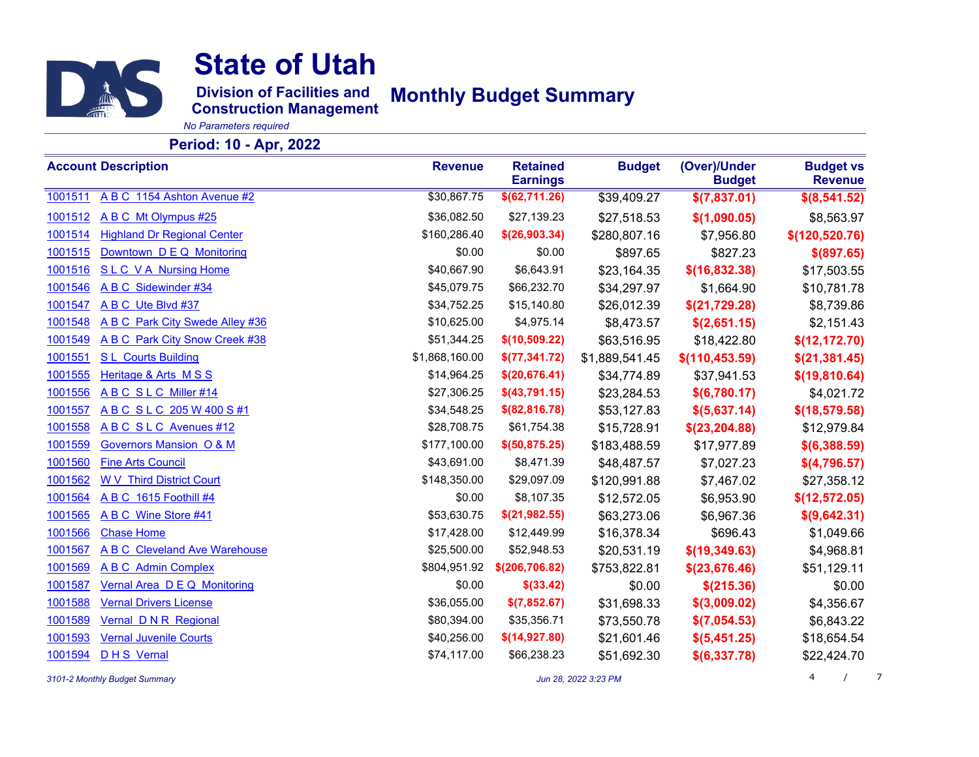

**Division of Facilities and Monthly Budget Summary**

**Construction Management**

*No Parameters required*

### **Period: 10 - Apr, 2022**

|         | <b>Account Description</b>         | <b>Revenue</b> | <b>Retained</b><br><b>Earnings</b> | <b>Budget</b>  | (Over)/Under<br><b>Budget</b> | <b>Budget vs</b><br><b>Revenue</b> |
|---------|------------------------------------|----------------|------------------------------------|----------------|-------------------------------|------------------------------------|
| 1001511 | A B C 1154 Ashton Avenue #2        | \$30,867.75    | \$(62,711.26)                      | \$39,409.27    | \$(7,837.01)                  | \$(8,541.52)                       |
| 1001512 | A B C Mt Olympus #25               | \$36,082.50    | \$27,139.23                        | \$27,518.53    | \$(1,090.05)                  | \$8,563.97                         |
| 1001514 | <b>Highland Dr Regional Center</b> | \$160,286.40   | \$(26,903.34)                      | \$280,807.16   | \$7,956.80                    | \$(120, 520.76)                    |
| 1001515 | Downtown D E Q Monitoring          | \$0.00         | \$0.00                             | \$897.65       | \$827.23                      | \$ (897.65)                        |
| 1001516 | <b>SLC VA Nursing Home</b>         | \$40,667.90    | \$6,643.91                         | \$23,164.35    | \$(16,832.38)                 | \$17,503.55                        |
| 1001546 | A B C Sidewinder #34               | \$45,079.75    | \$66,232.70                        | \$34,297.97    | \$1,664.90                    | \$10,781.78                        |
| 1001547 | A B C Ute Blvd #37                 | \$34,752.25    | \$15,140.80                        | \$26,012.39    | \$(21,729.28)                 | \$8,739.86                         |
| 1001548 | A B C Park City Swede Alley #36    | \$10,625.00    | \$4,975.14                         | \$8,473.57     | \$(2,651.15)                  | \$2,151.43                         |
| 1001549 | A B C Park City Snow Creek #38     | \$51,344.25    | \$(10,509.22)                      | \$63,516.95    | \$18,422.80                   | \$(12, 172.70)                     |
| 1001551 | <b>SL Courts Building</b>          | \$1,868,160.00 | \$(77, 341.72)                     | \$1,889,541.45 | \$(110, 453.59)               | \$(21, 381.45)                     |
| 1001555 | Heritage & Arts MSS                | \$14,964.25    | \$(20, 676.41)                     | \$34,774.89    | \$37,941.53                   | \$(19, 810.64)                     |
| 1001556 | ABC SLC Miller #14                 | \$27,306.25    | \$(43,791.15)                      | \$23,284.53    | \$(6,780.17)                  | \$4,021.72                         |
| 1001557 | ABC SLC 205 W 400 S #1             | \$34,548.25    | \$ (82, 816.78)                    | \$53,127.83    | \$(5,637.14)                  | \$(18, 579.58)                     |
| 1001558 | ABC SLC Avenues #12                | \$28,708.75    | \$61,754.38                        | \$15,728.91    | \$(23, 204.88)                | \$12,979.84                        |
| 1001559 | <b>Governors Mansion O &amp; M</b> | \$177,100.00   | \$(50, 875.25)                     | \$183,488.59   | \$17,977.89                   | \$(6,388.59)                       |
| 1001560 | <b>Fine Arts Council</b>           | \$43,691.00    | \$8,471.39                         | \$48,487.57    | \$7,027.23                    | \$(4,796.57)                       |
| 1001562 | <b>WV</b> Third District Court     | \$148,350.00   | \$29,097.09                        | \$120,991.88   | \$7,467.02                    | \$27,358.12                        |
| 1001564 | ABC 1615 Foothill #4               | \$0.00         | \$8,107.35                         | \$12,572.05    | \$6,953.90                    | \$(12, 572.05)                     |
| 1001565 | A B C Wine Store #41               | \$53,630.75    | \$(21,982.55)                      | \$63,273.06    | \$6,967.36                    | \$(9,642.31)                       |
| 1001566 | <b>Chase Home</b>                  | \$17,428.00    | \$12,449.99                        | \$16,378.34    | \$696.43                      | \$1,049.66                         |
| 1001567 | A B C Cleveland Ave Warehouse      | \$25,500.00    | \$52,948.53                        | \$20,531.19    | \$(19, 349.63)                | \$4,968.81                         |
| 1001569 | <b>ABC</b> Admin Complex           | \$804,951.92   | \$(206, 706.82)                    | \$753,822.81   | \$(23, 676.46)                | \$51,129.11                        |
| 1001587 | Vernal Area D E Q Monitoring       | \$0.00         | $$$ (33.42)                        | \$0.00         | \$(215.36)                    | \$0.00                             |
| 1001588 | <b>Vernal Drivers License</b>      | \$36,055.00    | \$(7,852.67)                       | \$31,698.33    | \$(3,009.02)                  | \$4,356.67                         |
| 1001589 | Vernal D N R Regional              | \$80,394.00    | \$35,356.71                        | \$73,550.78    | \$(7,054.53)                  | \$6,843.22                         |
| 1001593 | <b>Vernal Juvenile Courts</b>      | \$40,256.00    | \$(14,927.80)                      | \$21,601.46    | \$(5,451.25)                  | \$18,654.54                        |
| 1001594 | <b>DHS</b> Vernal                  | \$74,117.00    | \$66,238.23                        | \$51,692.30    | \$(6,337.78)                  | \$22,424.70                        |

*3101-2 Monthly Budget Summary Jun 28, 2022 3:23 PM* 4 /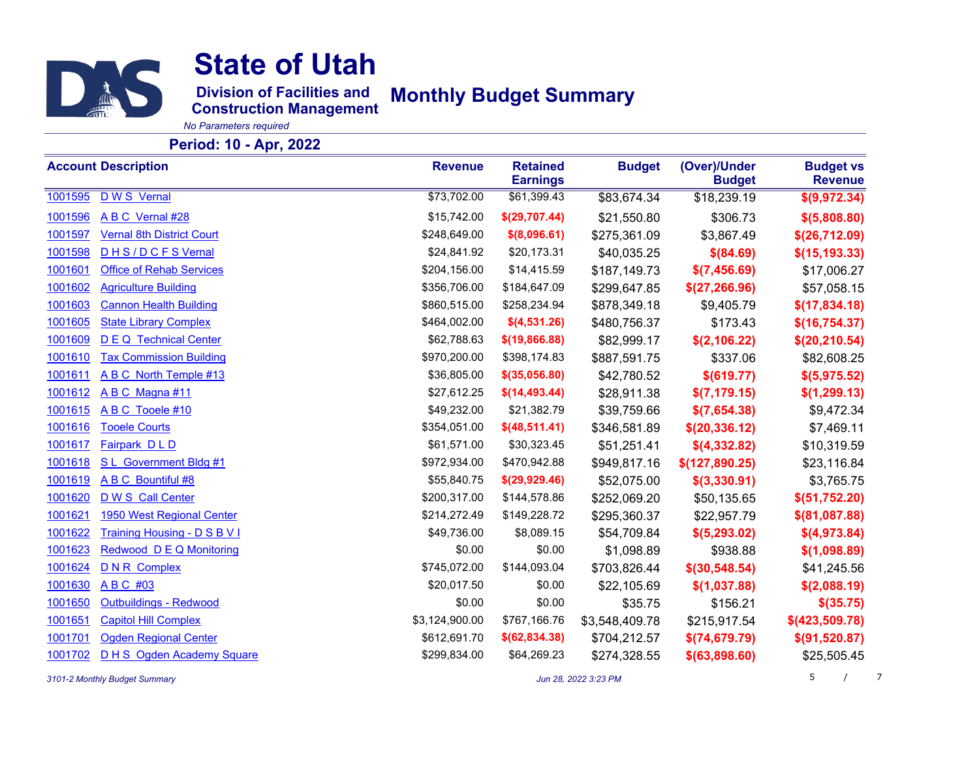

**Division of Facilities and Monthly Budget Summary**

**Construction Management**

*No Parameters required*

#### **Period: 10 - Apr, 2022**

|         | <b>Account Description</b>       | <b>Revenue</b> | <b>Retained</b><br><b>Earnings</b> | <b>Budget</b>  | (Over)/Under<br><b>Budget</b> | <b>Budget vs</b><br><b>Revenue</b> |
|---------|----------------------------------|----------------|------------------------------------|----------------|-------------------------------|------------------------------------|
| 1001595 | D W S Vernal                     | \$73,702.00    | \$61,399.43                        | \$83,674.34    | \$18,239.19                   | \$(9,972.34)                       |
| 1001596 | A B C Vernal #28                 | \$15,742.00    | \$(29,707.44)                      | \$21,550.80    | \$306.73                      | \$(5,808.80)                       |
| 1001597 | <b>Vernal 8th District Court</b> | \$248,649.00   | \$(8,096.61)                       | \$275,361.09   | \$3,867.49                    | \$(26,712.09)                      |
| 1001598 | DHS/DCFSVernal                   | \$24,841.92    | \$20,173.31                        | \$40,035.25    | \$ (84.69)                    | \$(15, 193.33)                     |
| 1001601 | <b>Office of Rehab Services</b>  | \$204,156.00   | \$14,415.59                        | \$187,149.73   | \$(7,456.69)                  | \$17,006.27                        |
| 1001602 | <b>Agriculture Building</b>      | \$356,706.00   | \$184,647.09                       | \$299,647.85   | \$(27, 266.96)                | \$57,058.15                        |
| 1001603 | <b>Cannon Health Building</b>    | \$860,515.00   | \$258,234.94                       | \$878,349.18   | \$9,405.79                    | \$(17,834.18)                      |
| 1001605 | <b>State Library Complex</b>     | \$464,002.00   | \$(4,531.26)                       | \$480,756.37   | \$173.43                      | \$(16, 754.37)                     |
| 1001609 | <b>DEQ</b> Technical Center      | \$62,788.63    | \$(19, 866.88)                     | \$82,999.17    | \$(2,106.22)                  | \$(20, 210.54)                     |
| 1001610 | <b>Tax Commission Building</b>   | \$970,200.00   | \$398,174.83                       | \$887,591.75   | \$337.06                      | \$82,608.25                        |
| 1001611 | A B C North Temple #13           | \$36,805.00    | $$$ (35,056.80)                    | \$42,780.52    | \$(619.77)                    | \$(5,975.52)                       |
| 1001612 | ABC Magna#11                     | \$27,612.25    | \$(14,493.44)                      | \$28,911.38    | \$(7,179.15)                  | \$(1,299.13)                       |
| 1001615 | A B C Tooele #10                 | \$49,232.00    | \$21,382.79                        | \$39,759.66    | \$(7,654.38)                  | \$9,472.34                         |
| 1001616 | <b>Tooele Courts</b>             | \$354,051.00   | \$(48,511.41)                      | \$346,581.89   | \$(20, 336.12)                | \$7,469.11                         |
| 1001617 | Fairpark DLD                     | \$61,571.00    | \$30,323.45                        | \$51,251.41    | \$(4,332.82)                  | \$10,319.59                        |
| 1001618 | S L Government Bldg #1           | \$972,934.00   | \$470,942.88                       | \$949,817.16   | \$(127,890.25)                | \$23,116.84                        |
| 1001619 | A B C Bountiful #8               | \$55,840.75    | \$(29, 929.46)                     | \$52,075.00    | \$(3,330.91)                  | \$3,765.75                         |
| 1001620 | D W S Call Center                | \$200,317.00   | \$144,578.86                       | \$252,069.20   | \$50,135.65                   | \$(51,752.20)                      |
| 1001621 | 1950 West Regional Center        | \$214,272.49   | \$149,228.72                       | \$295,360.37   | \$22,957.79                   | $$$ (81,087.88)                    |
| 1001622 | Training Housing - D S B V I     | \$49,736.00    | \$8,089.15                         | \$54,709.84    | \$(5,293.02)                  | \$(4,973.84)                       |
| 1001623 | Redwood D E Q Monitoring         | \$0.00         | \$0.00                             | \$1,098.89     | \$938.88                      | \$(1,098.89)                       |
| 1001624 | <b>DNR Complex</b>               | \$745,072.00   | \$144,093.04                       | \$703,826.44   | $$$ (30,548.54)               | \$41,245.56                        |
| 1001630 | ABC #03                          | \$20,017.50    | \$0.00                             | \$22,105.69    | \$(1,037.88)                  | \$(2,088.19)                       |
| 1001650 | Outbuildings - Redwood           | \$0.00         | \$0.00                             | \$35.75        | \$156.21                      | $$$ (35.75)                        |
| 1001651 | <b>Capitol Hill Complex</b>      | \$3,124,900.00 | \$767,166.76                       | \$3,548,409.78 | \$215,917.54                  | \$(423,509.78)                     |
| 1001701 | <b>Ogden Regional Center</b>     | \$612,691.70   | \$(62, 834.38)                     | \$704,212.57   | \$(74,679.79)                 | \$(91, 520.87)                     |
| 1001702 | D H S Ogden Academy Square       | \$299,834.00   | \$64,269.23                        | \$274,328.55   | \$ (63, 898.60)               | \$25,505.45                        |

**3101-2 Monthly Budget Summary** *Jun 28, 2022 3:23 PM* $J$ **un 28, 2022 3:23 PM**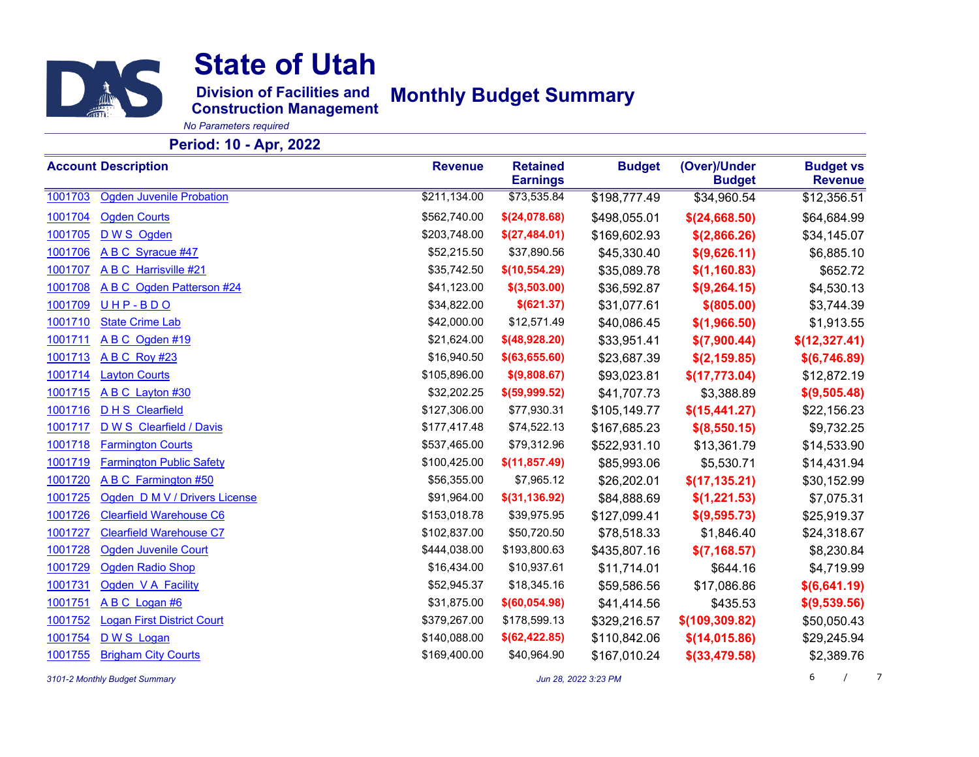

**Division of Facilities and Monthly Budget Summary**

**Construction Management**

*No Parameters required*

#### **Period: 10 - Apr, 2022**

|         | <b>Account Description</b>        | <b>Revenue</b> | <b>Retained</b><br><b>Earnings</b> | <b>Budget</b> | (Over)/Under<br><b>Budget</b> | <b>Budget vs</b><br><b>Revenue</b> |
|---------|-----------------------------------|----------------|------------------------------------|---------------|-------------------------------|------------------------------------|
| 1001703 | <b>Ogden Juvenile Probation</b>   | \$211,134.00   | \$73,535.84                        | \$198,777.49  | \$34,960.54                   | \$12,356.51                        |
| 1001704 | <b>Ogden Courts</b>               | \$562,740.00   | \$(24,078.68)                      | \$498,055.01  | \$(24,668.50)                 | \$64,684.99                        |
| 1001705 | D W S Ogden                       | \$203,748.00   | \$(27,484.01)                      | \$169,602.93  | \$(2,866.26)                  | \$34,145.07                        |
| 1001706 | A B C Syracue #47                 | \$52,215.50    | \$37,890.56                        | \$45,330.40   | \$(9,626.11)                  | \$6,885.10                         |
| 1001707 | A B C Harrisville #21             | \$35,742.50    | \$(10, 554.29)                     | \$35,089.78   | \$(1,160.83)                  | \$652.72                           |
| 1001708 | A B C Ogden Patterson #24         | \$41,123.00    | \$(3,503.00)                       | \$36,592.87   | \$(9,264.15)                  | \$4,530.13                         |
| 1001709 | UHP-BDO                           | \$34,822.00    | \$(621.37)                         | \$31,077.61   | \$ (805.00)                   | \$3,744.39                         |
| 1001710 | <b>State Crime Lab</b>            | \$42,000.00    | \$12,571.49                        | \$40,086.45   | \$(1,966.50)                  | \$1,913.55                         |
| 1001711 | ABC Ogden #19                     | \$21,624.00    | \$(48,928.20)                      | \$33,951.41   | \$(7,900.44)                  | \$(12,327.41)                      |
| 1001713 | <b>ABC Roy #23</b>                | \$16,940.50    | $$$ (63,655.60)                    | \$23,687.39   | \$(2, 159.85)                 | \$(6,746.89)                       |
| 1001714 | <b>Layton Courts</b>              | \$105,896.00   | \$(9,808.67)                       | \$93,023.81   | \$(17,773.04)                 | \$12,872.19                        |
| 1001715 | A B C Layton #30                  | \$32,202.25    | \$(59,999.52)                      | \$41,707.73   | \$3,388.89                    | \$(9,505.48)                       |
| 1001716 | <b>DHS</b> Clearfield             | \$127,306.00   | \$77,930.31                        | \$105,149.77  | \$(15, 441.27)                | \$22,156.23                        |
| 1001717 | D W S Clearfield / Davis          | \$177,417.48   | \$74,522.13                        | \$167,685.23  | \$(8,550.15)                  | \$9,732.25                         |
| 1001718 | <b>Farmington Courts</b>          | \$537,465.00   | \$79,312.96                        | \$522,931.10  | \$13,361.79                   | \$14,533.90                        |
| 1001719 | <b>Farmington Public Safety</b>   | \$100,425.00   | \$(11, 857.49)                     | \$85,993.06   | \$5,530.71                    | \$14,431.94                        |
| 1001720 | A B C Farmington #50              | \$56,355.00    | \$7,965.12                         | \$26,202.01   | \$(17, 135.21)                | \$30,152.99                        |
| 1001725 | Ogden D M V / Drivers License     | \$91,964.00    | \$(31, 136.92)                     | \$84,888.69   | \$(1,221.53)                  | \$7,075.31                         |
| 1001726 | <b>Clearfield Warehouse C6</b>    | \$153,018.78   | \$39,975.95                        | \$127,099.41  | \$(9,595.73)                  | \$25,919.37                        |
| 1001727 | <b>Clearfield Warehouse C7</b>    | \$102,837.00   | \$50,720.50                        | \$78,518.33   | \$1,846.40                    | \$24,318.67                        |
| 1001728 | <b>Ogden Juvenile Court</b>       | \$444,038.00   | \$193,800.63                       | \$435,807.16  | \$(7, 168.57)                 | \$8,230.84                         |
| 1001729 | <b>Ogden Radio Shop</b>           | \$16,434.00    | \$10,937.61                        | \$11,714.01   | \$644.16                      | \$4,719.99                         |
| 1001731 | Ogden V A Facility                | \$52,945.37    | \$18,345.16                        | \$59,586.56   | \$17,086.86                   | \$(6,641.19)                       |
| 1001751 | A B C Logan #6                    | \$31,875.00    | \$(60, 054.98)                     | \$41,414.56   | \$435.53                      | \$(9,539.56)                       |
| 1001752 | <b>Logan First District Court</b> | \$379,267.00   | \$178,599.13                       | \$329,216.57  | \$(109, 309.82)               | \$50,050.43                        |
| 1001754 | D W S Logan                       | \$140,088.00   | \$(62, 422.85)                     | \$110,842.06  | \$(14, 015.86)                | \$29,245.94                        |
| 1001755 | <b>Brigham City Courts</b>        | \$169,400.00   | \$40,964.90                        | \$167,010.24  | $$$ (33,479.58)               | \$2,389.76                         |

*3101-2 Monthly Budget Summary Jun 28, 2022 3:23 PM* 6 /